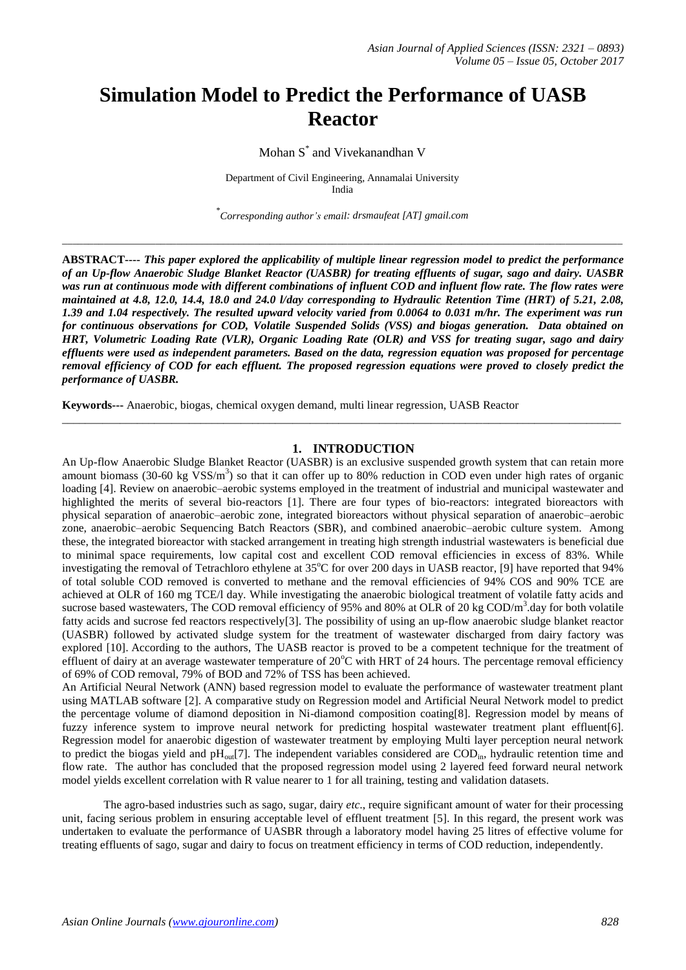# **Simulation Model to Predict the Performance of UASB Reactor**

Mohan S \* and Vivekanandhan V

Department of Civil Engineering, Annamalai University India

\* *Corresponding author's email[: drsmaufeat](mailto:drsmaufeat@gmail.com) [AT] gmail.com*

\_\_\_\_\_\_\_\_\_\_\_\_\_\_\_\_\_\_\_\_\_\_\_\_\_\_\_\_\_\_\_\_\_\_\_\_\_\_\_\_\_\_\_\_\_\_\_\_\_\_\_\_\_\_\_\_\_\_\_\_\_\_\_\_\_\_\_\_\_\_\_\_\_\_\_\_\_\_\_\_\_\_\_\_\_\_\_\_\_\_\_\_\_\_\_\_\_\_\_\_\_\_\_\_\_\_\_\_

**ABSTRACT----** *This paper explored the applicability of multiple linear regression model to predict the performance of an Up-flow Anaerobic Sludge Blanket Reactor (UASBR) for treating effluents of sugar, sago and dairy. UASBR was run at continuous mode with different combinations of influent COD and influent flow rate. The flow rates were maintained at 4.8, 12.0, 14.4, 18.0 and 24.0 l/day corresponding to Hydraulic Retention Time (HRT) of 5.21, 2.08, 1.39 and 1.04 respectively. The resulted upward velocity varied from 0.0064 to 0.031 m/hr. The experiment was run for continuous observations for COD, Volatile Suspended Solids (VSS) and biogas generation. Data obtained on HRT, Volumetric Loading Rate (VLR), Organic Loading Rate (OLR) and VSS for treating sugar, sago and dairy effluents were used as independent parameters. Based on the data, regression equation was proposed for percentage removal efficiency of COD for each effluent. The proposed regression equations were proved to closely predict the performance of UASBR.* 

**Keywords---** Anaerobic, biogas, chemical oxygen demand, multi linear regression, UASB Reactor

#### **1. INTRODUCTION**

 $\_$  ,  $\_$  ,  $\_$  ,  $\_$  ,  $\_$  ,  $\_$  ,  $\_$  ,  $\_$  ,  $\_$  ,  $\_$  ,  $\_$  ,  $\_$  ,  $\_$  ,  $\_$  ,  $\_$  ,  $\_$  ,  $\_$  ,  $\_$  ,  $\_$  ,  $\_$  ,  $\_$  ,  $\_$  ,  $\_$  ,  $\_$  ,  $\_$  ,  $\_$  ,  $\_$  ,  $\_$  ,  $\_$  ,  $\_$  ,  $\_$  ,  $\_$  ,  $\_$  ,  $\_$  ,  $\_$  ,  $\_$  ,  $\_$  ,

An Up-flow Anaerobic Sludge Blanket Reactor (UASBR) is an exclusive suspended growth system that can retain more amount biomass (30-60 kg  $VSS/m<sup>3</sup>$ ) so that it can offer up to 80% reduction in COD even under high rates of organic loading [4]. Review on anaerobic–aerobic systems employed in the treatment of industrial and municipal wastewater and highlighted the merits of several bio-reactors [1]. There are four types of bio-reactors: integrated bioreactors with physical separation of anaerobic–aerobic zone, integrated bioreactors without physical separation of anaerobic–aerobic zone, anaerobic–aerobic Sequencing Batch Reactors (SBR), and combined anaerobic–aerobic culture system. Among these, the integrated bioreactor with stacked arrangement in treating high strength industrial wastewaters is beneficial due to minimal space requirements, low capital cost and excellent COD removal efficiencies in excess of 83%. While investigating the removal of Tetrachloro ethylene at  $35^{\circ}$ C for over 200 days in UASB reactor, [9] have reported that 94% of total soluble COD removed is converted to methane and the removal efficiencies of 94% COS and 90% TCE are achieved at OLR of 160 mg TCE/l day. While investigating the anaerobic biological treatment of volatile fatty acids and sucrose based wastewaters, The COD removal efficiency of 95% and 80% at OLR of 20 kg COD/m<sup>3</sup>.day for both volatile fatty acids and sucrose fed reactors respectively[3]. The possibility of using an up-flow anaerobic sludge blanket reactor (UASBR) followed by activated sludge system for the treatment of wastewater discharged from dairy factory was explored [10]. According to the authors, The UASB reactor is proved to be a competent technique for the treatment of effluent of dairy at an average wastewater temperature of  $20^{\circ}$ C with HRT of 24 hours. The percentage removal efficiency of 69% of COD removal, 79% of BOD and 72% of TSS has been achieved.

An Artificial Neural Network (ANN) based regression model to evaluate the performance of wastewater treatment plant using MATLAB software [2]. A comparative study on Regression model and Artificial Neural Network model to predict the percentage volume of diamond deposition in Ni-diamond composition coating[8]. Regression model by means of fuzzy inference system to improve neural network for predicting hospital wastewater treatment plant effluent[6]. Regression model for anaerobic digestion of wastewater treatment by employing Multi layer perception neural network to predict the biogas yield and  $pH_{out}[7]$ . The independent variables considered are  $\text{COD}_{in}$ , hydraulic retention time and flow rate. The author has concluded that the proposed regression model using 2 layered feed forward neural network model yields excellent correlation with R value nearer to 1 for all training, testing and validation datasets.

The agro-based industries such as sago, sugar, dairy *etc*., require significant amount of water for their processing unit, facing serious problem in ensuring acceptable level of effluent treatment [5]. In this regard, the present work was undertaken to evaluate the performance of UASBR through a laboratory model having 25 litres of effective volume for treating effluents of sago, sugar and dairy to focus on treatment efficiency in terms of COD reduction, independently.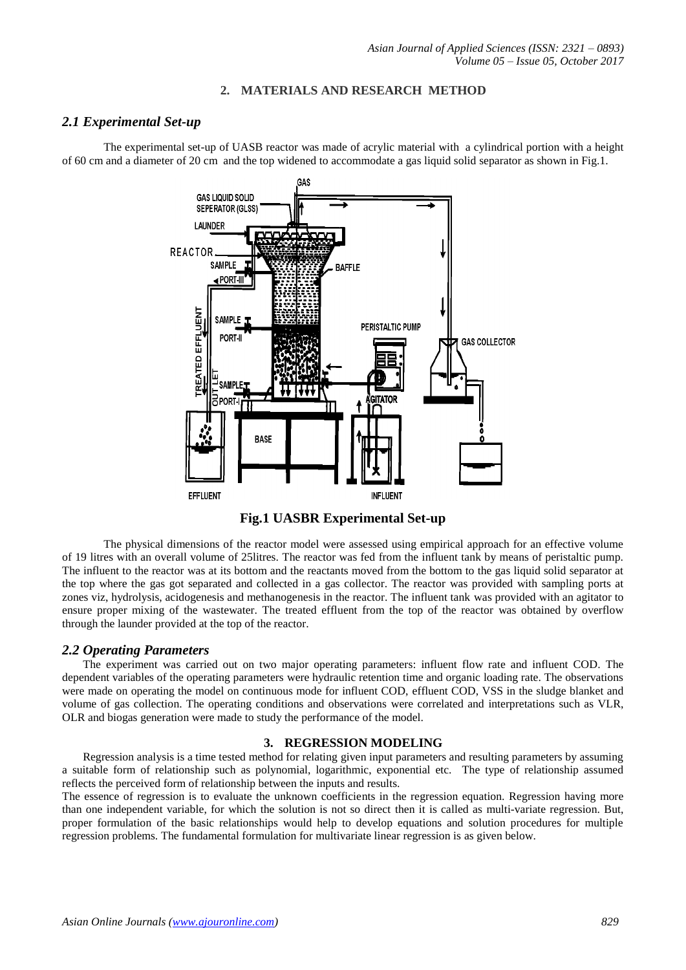### **2. MATERIALS AND RESEARCH METHOD**

## *2.1 Experimental Set-up*

The experimental set-up of UASB reactor was made of acrylic material with a cylindrical portion with a height of 60 cm and a diameter of 20 cm and the top widened to accommodate a gas liquid solid separator as shown in Fig.1.



**Fig.1 UASBR Experimental Set-up** 

The physical dimensions of the reactor model were assessed using empirical approach for an effective volume of 19 litres with an overall volume of 25litres. The reactor was fed from the influent tank by means of peristaltic pump. The influent to the reactor was at its bottom and the reactants moved from the bottom to the gas liquid solid separator at the top where the gas got separated and collected in a gas collector. The reactor was provided with sampling ports at zones viz, hydrolysis, acidogenesis and methanogenesis in the reactor. The influent tank was provided with an agitator to ensure proper mixing of the wastewater. The treated effluent from the top of the reactor was obtained by overflow through the launder provided at the top of the reactor.

## *2.2 Operating Parameters*

The experiment was carried out on two major operating parameters: influent flow rate and influent COD. The dependent variables of the operating parameters were hydraulic retention time and organic loading rate. The observations were made on operating the model on continuous mode for influent COD, effluent COD, VSS in the sludge blanket and volume of gas collection. The operating conditions and observations were correlated and interpretations such as VLR, OLR and biogas generation were made to study the performance of the model.

## **3. REGRESSION MODELING**

Regression analysis is a time tested method for relating given input parameters and resulting parameters by assuming a suitable form of relationship such as polynomial, logarithmic, exponential etc. The type of relationship assumed reflects the perceived form of relationship between the inputs and results.

The essence of regression is to evaluate the unknown coefficients in the regression equation. Regression having more than one independent variable, for which the solution is not so direct then it is called as multi-variate regression. But, proper formulation of the basic relationships would help to develop equations and solution procedures for multiple regression problems. The fundamental formulation for multivariate linear regression is as given below.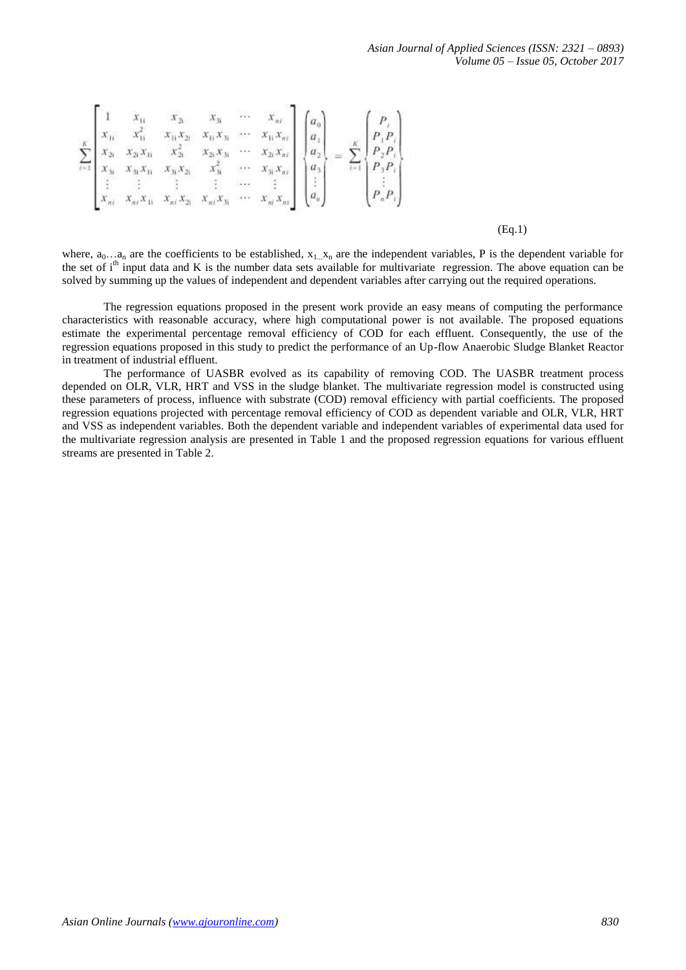*Asian Journal of Applied Sciences (ISSN: 2321 – 0893) Volume 05 – Issue 05, October 2017*

$$
\sum_{i=1}^{k} \begin{bmatrix} 1 & x_{1i} & x_{2i} & x_{3i} & \cdots & x_{ni} \\ x_{1i} & x_{2i}^2 & x_{1i}x_{2i} & x_{1i}x_{3i} & \cdots & x_{1i}x_{ni} \\ x_{2i} & x_{2i}x_{1i} & x_{2i}^2 & x_{2i}x_{3i} & \cdots & x_{2i}x_{ni} \\ x_{3i} & x_{3i}x_{1i} & x_{3i}x_{2i} & x_{3i}^2 & \cdots & x_{3i}x_{ni} \\ \vdots & \vdots & \vdots & \vdots & \ddots & \vdots \\ x_{ni} & x_{ni}x_{1i} & x_{ni}x_{2i} & x_{ni}x_{3i} & \cdots & x_{ni}x_{ni} \end{bmatrix} \begin{bmatrix} a_0 \\ a_1 \\ a_2 \\ a_3 \\ \vdots \\ a_n \end{bmatrix} = \sum_{i=1}^{k} \begin{bmatrix} P_i \\ P_1P_i \\ P_2P_i \\ P_3P_i \\ \vdots \\ P_nP_i \end{bmatrix}
$$

(Eq.1)

where,  $a_0...a_n$  are the coefficients to be established,  $x_1...x_n$  are the independent variables, P is the dependent variable for the set of  $i<sup>th</sup>$  input data and K is the number data sets available for multivariate regression. The above equation can be solved by summing up the values of independent and dependent variables after carrying out the required operations.

The regression equations proposed in the present work provide an easy means of computing the performance characteristics with reasonable accuracy, where high computational power is not available. The proposed equations estimate the experimental percentage removal efficiency of COD for each effluent. Consequently, the use of the regression equations proposed in this study to predict the performance of an Up-flow Anaerobic Sludge Blanket Reactor in treatment of industrial effluent.

The performance of UASBR evolved as its capability of removing COD. The UASBR treatment process depended on OLR, VLR, HRT and VSS in the sludge blanket. The multivariate regression model is constructed using these parameters of process, influence with substrate (COD) removal efficiency with partial coefficients. The proposed regression equations projected with percentage removal efficiency of COD as dependent variable and OLR, VLR, HRT and VSS as independent variables. Both the dependent variable and independent variables of experimental data used for the multivariate regression analysis are presented in Table 1 and the proposed regression equations for various effluent streams are presented in Table 2.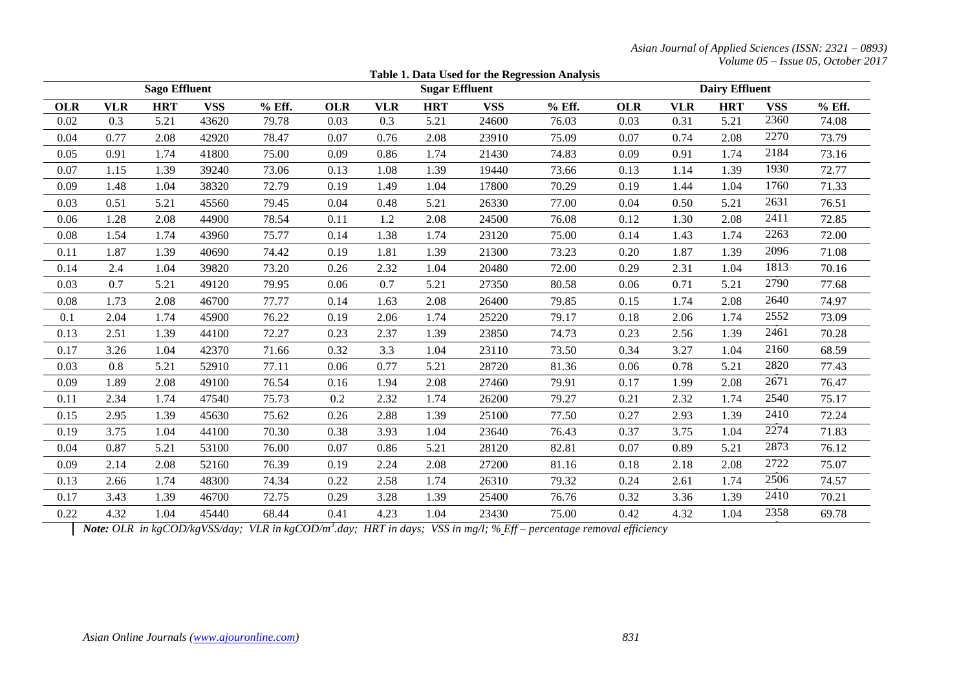*Asian Journal of Applied Sciences (ISSN: 2321 – 0893) Volume 05 – Issue 05, October 2017*

|            |                                                                                                                                       |            |            |        |                       |            |            |            | Table 1. Data Used for the Regression Analysis |                       |            |            |            |        |
|------------|---------------------------------------------------------------------------------------------------------------------------------------|------------|------------|--------|-----------------------|------------|------------|------------|------------------------------------------------|-----------------------|------------|------------|------------|--------|
|            | <b>Sago Effluent</b>                                                                                                                  |            |            |        | <b>Sugar Effluent</b> |            |            |            |                                                | <b>Dairy Effluent</b> |            |            |            |        |
| <b>OLR</b> | <b>VLR</b>                                                                                                                            | <b>HRT</b> | <b>VSS</b> | % Eff. | <b>OLR</b>            | <b>VLR</b> | <b>HRT</b> | <b>VSS</b> | % Eff.                                         | <b>OLR</b>            | <b>VLR</b> | <b>HRT</b> | <b>VSS</b> | % Eff. |
| 0.02       | 0.3                                                                                                                                   | 5.21       | 43620      | 79.78  | 0.03                  | 0.3        | 5.21       | 24600      | 76.03                                          | 0.03                  | 0.31       | 5.21       | 2360       | 74.08  |
| 0.04       | 0.77                                                                                                                                  | 2.08       | 42920      | 78.47  | 0.07                  | 0.76       | 2.08       | 23910      | 75.09                                          | 0.07                  | 0.74       | 2.08       | 2270       | 73.79  |
| 0.05       | 0.91                                                                                                                                  | 1.74       | 41800      | 75.00  | 0.09                  | 0.86       | 1.74       | 21430      | 74.83                                          | 0.09                  | 0.91       | 1.74       | 2184       | 73.16  |
| 0.07       | 1.15                                                                                                                                  | 1.39       | 39240      | 73.06  | 0.13                  | 1.08       | 1.39       | 19440      | 73.66                                          | 0.13                  | 1.14       | 1.39       | 1930       | 72.77  |
| 0.09       | 1.48                                                                                                                                  | 1.04       | 38320      | 72.79  | 0.19                  | 1.49       | 1.04       | 17800      | 70.29                                          | 0.19                  | 1.44       | 1.04       | 1760       | 71.33  |
| 0.03       | 0.51                                                                                                                                  | 5.21       | 45560      | 79.45  | 0.04                  | 0.48       | 5.21       | 26330      | 77.00                                          | 0.04                  | 0.50       | 5.21       | 2631       | 76.51  |
| 0.06       | 1.28                                                                                                                                  | 2.08       | 44900      | 78.54  | 0.11                  | 1.2        | 2.08       | 24500      | 76.08                                          | 0.12                  | 1.30       | 2.08       | 2411       | 72.85  |
| 0.08       | 1.54                                                                                                                                  | 1.74       | 43960      | 75.77  | 0.14                  | 1.38       | 1.74       | 23120      | 75.00                                          | 0.14                  | 1.43       | 1.74       | 2263       | 72.00  |
| 0.11       | 1.87                                                                                                                                  | 1.39       | 40690      | 74.42  | 0.19                  | 1.81       | 1.39       | 21300      | 73.23                                          | 0.20                  | 1.87       | 1.39       | 2096       | 71.08  |
| 0.14       | 2.4                                                                                                                                   | 1.04       | 39820      | 73.20  | 0.26                  | 2.32       | 1.04       | 20480      | 72.00                                          | 0.29                  | 2.31       | 1.04       | 1813       | 70.16  |
| 0.03       | 0.7                                                                                                                                   | 5.21       | 49120      | 79.95  | 0.06                  | 0.7        | 5.21       | 27350      | 80.58                                          | 0.06                  | 0.71       | 5.21       | 2790       | 77.68  |
| 0.08       | 1.73                                                                                                                                  | 2.08       | 46700      | 77.77  | 0.14                  | 1.63       | 2.08       | 26400      | 79.85                                          | 0.15                  | 1.74       | 2.08       | 2640       | 74.97  |
| 0.1        | 2.04                                                                                                                                  | 1.74       | 45900      | 76.22  | 0.19                  | 2.06       | 1.74       | 25220      | 79.17                                          | 0.18                  | 2.06       | 1.74       | 2552       | 73.09  |
| 0.13       | 2.51                                                                                                                                  | 1.39       | 44100      | 72.27  | 0.23                  | 2.37       | 1.39       | 23850      | 74.73                                          | 0.23                  | 2.56       | 1.39       | 2461       | 70.28  |
| 0.17       | 3.26                                                                                                                                  | 1.04       | 42370      | 71.66  | 0.32                  | 3.3        | 1.04       | 23110      | 73.50                                          | 0.34                  | 3.27       | 1.04       | 2160       | 68.59  |
| 0.03       | 0.8                                                                                                                                   | 5.21       | 52910      | 77.11  | 0.06                  | 0.77       | 5.21       | 28720      | 81.36                                          | 0.06                  | 0.78       | 5.21       | 2820       | 77.43  |
| 0.09       | 1.89                                                                                                                                  | 2.08       | 49100      | 76.54  | 0.16                  | 1.94       | 2.08       | 27460      | 79.91                                          | 0.17                  | 1.99       | 2.08       | 2671       | 76.47  |
| 0.11       | 2.34                                                                                                                                  | 1.74       | 47540      | 75.73  | 0.2                   | 2.32       | 1.74       | 26200      | 79.27                                          | 0.21                  | 2.32       | 1.74       | 2540       | 75.17  |
| 0.15       | 2.95                                                                                                                                  | 1.39       | 45630      | 75.62  | 0.26                  | 2.88       | 1.39       | 25100      | 77.50                                          | 0.27                  | 2.93       | 1.39       | 2410       | 72.24  |
| 0.19       | 3.75                                                                                                                                  | 1.04       | 44100      | 70.30  | 0.38                  | 3.93       | 1.04       | 23640      | 76.43                                          | 0.37                  | 3.75       | 1.04       | 2274       | 71.83  |
| 0.04       | 0.87                                                                                                                                  | 5.21       | 53100      | 76.00  | 0.07                  | 0.86       | 5.21       | 28120      | 82.81                                          | 0.07                  | 0.89       | 5.21       | 2873       | 76.12  |
| 0.09       | 2.14                                                                                                                                  | 2.08       | 52160      | 76.39  | 0.19                  | 2.24       | 2.08       | 27200      | 81.16                                          | 0.18                  | 2.18       | 2.08       | 2722       | 75.07  |
| 0.13       | 2.66                                                                                                                                  | 1.74       | 48300      | 74.34  | 0.22                  | 2.58       | 1.74       | 26310      | 79.32                                          | 0.24                  | 2.61       | 1.74       | 2506       | 74.57  |
| 0.17       | 3.43                                                                                                                                  | 1.39       | 46700      | 72.75  | 0.29                  | 3.28       | 1.39       | 25400      | 76.76                                          | 0.32                  | 3.36       | 1.39       | 2410       | 70.21  |
| 0.22       | 4.32                                                                                                                                  | 1.04       | 45440      | 68.44  | 0.41                  | 4.23       | 1.04       | 23430      | 75.00                                          | 0.42                  | 4.32       | 1.04       | 2358       | 69.78  |
|            | <b>Note:</b> OLR in koCOD/koVSS/day: VLR in koCOD/m <sup>3</sup> day: HRT in days: VSS in mo/l: % Eff – percentage removal efficiency |            |            |        |                       |            |            |            |                                                |                       |            |            |            |        |

*Note: OLR in kgCOD/kgVSS/day; VLR in kgCOD/m<sup>3</sup> .day; HRT in days; VSS in mg/l; % Eff – percentage removal efficiency*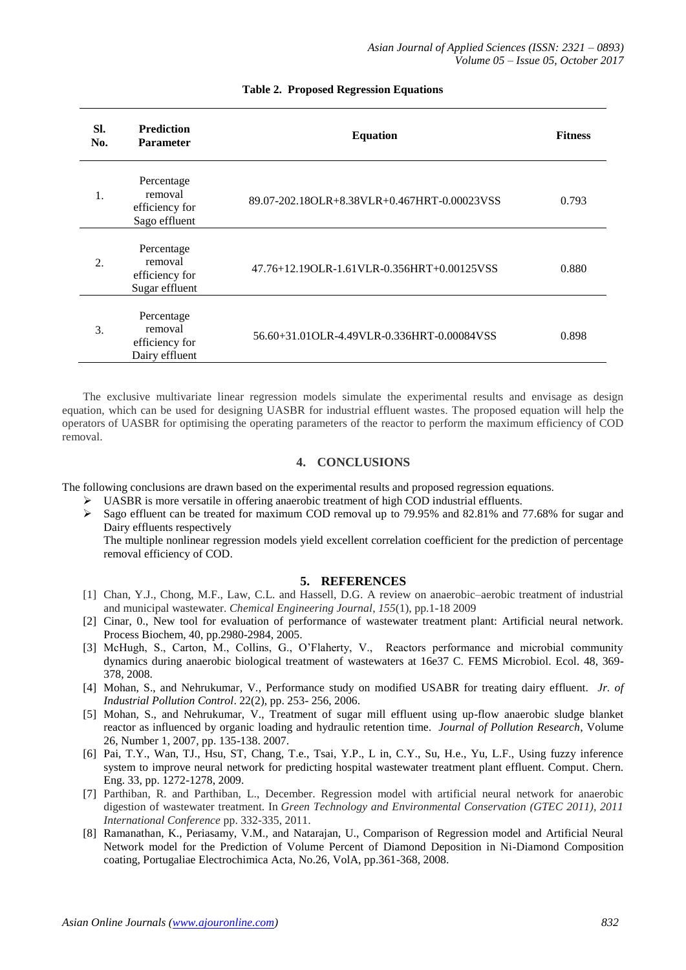| SI.<br>No. | <b>Prediction</b><br><b>Parameter</b>                     | <b>Equation</b>                                | <b>Fitness</b> |
|------------|-----------------------------------------------------------|------------------------------------------------|----------------|
| 1.         | Percentage<br>removal<br>efficiency for<br>Sago effluent  | 89.07-202.18OLR+8.38VLR+0.467HRT-0.00023VSS    | 0.793          |
| 2.         | Percentage<br>removal<br>efficiency for<br>Sugar effluent | 47.76+12.19OLR-1.61VLR-0.356HRT+0.00125VSS     | 0.880          |
| 3.         | Percentage<br>removal<br>efficiency for<br>Dairy effluent | 56.60+31.01 OLR-4.49 VLR-0.336 HRT-0.00084 VSS | 0.898          |

#### **Table 2. Proposed Regression Equations**

The exclusive multivariate linear regression models simulate the experimental results and envisage as design equation, which can be used for designing UASBR for industrial effluent wastes. The proposed equation will help the operators of UASBR for optimising the operating parameters of the reactor to perform the maximum efficiency of COD removal.

#### **4. CONCLUSIONS**

The following conclusions are drawn based on the experimental results and proposed regression equations.

- $\triangleright$  UASBR is more versatile in offering anaerobic treatment of high COD industrial effluents.
- Sago effluent can be treated for maximum COD removal up to 79.95% and 82.81% and 77.68% for sugar and Dairy effluents respectively

The multiple nonlinear regression models yield excellent correlation coefficient for the prediction of percentage removal efficiency of COD.

#### **5. REFERENCES**

- [1] Chan, Y.J., Chong, M.F., Law, C.L. and Hassell, D.G. A review on anaerobic–aerobic treatment of industrial and municipal wastewater. *Chemical Engineering Journal*, *155*(1), pp.1-18 2009
- [2] Cinar, 0., New tool for evaluation of performance of wastewater treatment plant: Artificial neural network. Process Biochem, 40, pp.2980-2984, 2005.
- [3] McHugh, S., Carton, M., Collins, G., O'Flaherty, V., Reactors performance and microbial community dynamics during anaerobic biological treatment of wastewaters at 16e37 C. FEMS Microbiol. Ecol. 48, 369- 378, 2008.
- [4] Mohan, S., and Nehrukumar*,* V*.,* Performance study on modified USABR for treating dairy effluent. *Jr. of Industrial Pollution Control*. 22(2), pp. 253- 256, 2006.
- [5] Mohan, S., and Nehrukumar, V., Treatment of sugar mill effluent using up-flow anaerobic sludge blanket reactor as influenced by organic loading and hydraulic retention time. *Journal of Pollution Research*, Volume 26, Number 1, 2007, pp. 135-138. 2007.
- [6] Pai, T.Y., Wan, TJ., Hsu, ST, Chang, T.e., Tsai, Y.P., L in, C.Y., Su, H.e., Yu, L.F., Using fuzzy inference system to improve neural network for predicting hospital wastewater treatment plant effluent. Comput. Chern. Eng. 33, pp. 1272-1278, 2009.
- [7] Parthiban, R. and Parthiban, L., December. Regression model with artificial neural network for anaerobic digestion of wastewater treatment. In *Green Technology and Environmental Conservation (GTEC 2011), 2011 International Conference* pp. 332-335, 2011.
- [8] Ramanathan, K., Periasamy, V.M., and Natarajan, U., Comparison of Regression model and Artificial Neural Network model for the Prediction of Volume Percent of Diamond Deposition in Ni-Diamond Composition coating, Portugaliae Electrochimica Acta, No.26, VolA, pp.361-368, 2008.